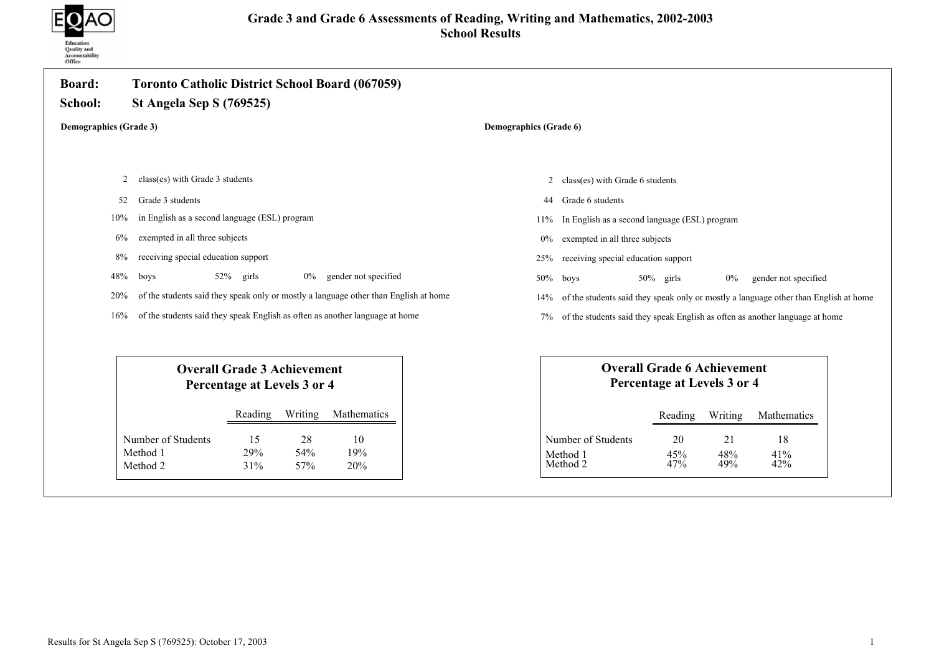

| <b>Board:</b><br>School:      | Toronto Catholic District School Board (067059)<br><b>St Angela Sep S (769525)</b>                     |                                                                                                        |  |
|-------------------------------|--------------------------------------------------------------------------------------------------------|--------------------------------------------------------------------------------------------------------|--|
| <b>Demographics (Grade 3)</b> |                                                                                                        | Demographics (Grade 6)                                                                                 |  |
|                               |                                                                                                        |                                                                                                        |  |
| 2                             | class(es) with Grade 3 students                                                                        | class(es) with Grade 6 students<br>$\overline{2}$                                                      |  |
| 52                            | Grade 3 students                                                                                       | Grade 6 students<br>44                                                                                 |  |
| 10%                           | in English as a second language (ESL) program                                                          | In English as a second language (ESL) program<br>11%                                                   |  |
| 6%                            | exempted in all three subjects                                                                         | exempted in all three subjects<br>0%                                                                   |  |
| 8%                            | receiving special education support                                                                    | receiving special education support<br>25%                                                             |  |
| 48%                           | gender not specified<br>52% girls<br>boys<br>$0\%$                                                     | 50%<br>boys<br>$50\%$ girls<br>$0\%$<br>gender not specified                                           |  |
| 20%                           | of the students said they speak only or mostly a language other than English at home                   | of the students said they speak only or mostly a language other than English at home<br>14%            |  |
| 16%                           | of the students said they speak English as often as another language at home                           | of the students said they speak English as often as another language at home                           |  |
|                               | <b>Overall Grade 3 Achievement</b><br>Percentage at Levels 3 or 4                                      | <b>Overall Grade 6 Achievement</b><br>Percentage at Levels 3 or 4                                      |  |
|                               | Writing<br>Mathematics<br>Reading                                                                      | Writing<br>Mathematics<br>Reading                                                                      |  |
|                               | Number of Students<br>15<br>28<br>10<br>54%<br>19%<br>Method 1<br>29%<br>Method 2<br>31%<br>57%<br>20% | Number of Students<br>21<br>18<br>20<br>Method 1<br>41%<br>48%<br>45%<br>49%<br>Method 2<br>47%<br>42% |  |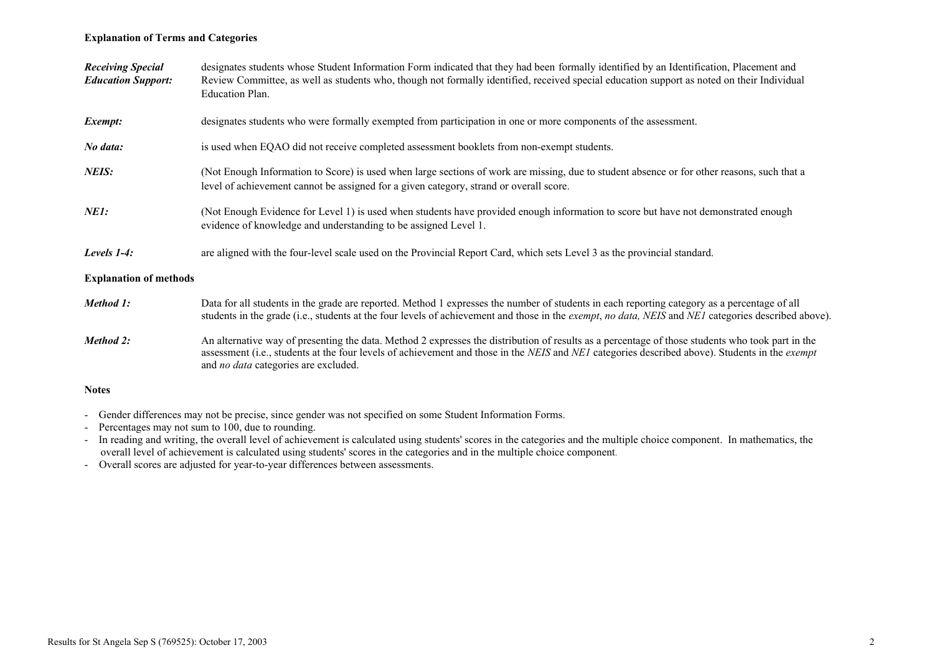# Explanation of Terms and Categories

| <b>Receiving Special</b><br><b>Education Support:</b> | designates students whose Student Information Form indicated that they had been formally identified by an Identification, Placement and<br>Review Committee, as well as students who, though not formally identified, received special education support as noted on their Individual<br>Education Plan.                                          |
|-------------------------------------------------------|---------------------------------------------------------------------------------------------------------------------------------------------------------------------------------------------------------------------------------------------------------------------------------------------------------------------------------------------------|
| Exempt:                                               | designates students who were formally exempted from participation in one or more components of the assessment.                                                                                                                                                                                                                                    |
| No data:                                              | is used when EQAO did not receive completed assessment booklets from non-exempt students.                                                                                                                                                                                                                                                         |
| NEIS:                                                 | (Not Enough Information to Score) is used when large sections of work are missing, due to student absence or for other reasons, such that a<br>level of achievement cannot be assigned for a given category, strand or overall score.                                                                                                             |
| <i>NE1:</i>                                           | (Not Enough Evidence for Level 1) is used when students have provided enough information to score but have not demonstrated enough<br>evidence of knowledge and understanding to be assigned Level 1.                                                                                                                                             |
| Levels $1-4$ :                                        | are aligned with the four-level scale used on the Provincial Report Card, which sets Level 3 as the provincial standard.                                                                                                                                                                                                                          |
| <b>Explanation of methods</b>                         |                                                                                                                                                                                                                                                                                                                                                   |
| Method 1:                                             | Data for all students in the grade are reported. Method 1 expresses the number of students in each reporting category as a percentage of all<br>students in the grade (i.e., students at the four levels of achievement and those in the <i>exempt, no data, NEIS</i> and <i>NE1</i> categories described above).                                 |
| Method 2:                                             | An alternative way of presenting the data. Method 2 expresses the distribution of results as a percentage of those students who took part in the<br>assessment (i.e., students at the four levels of achievement and those in the NEIS and NEI categories described above). Students in the exempt<br>and <i>no data</i> categories are excluded. |
| <b>Notes</b>                                          |                                                                                                                                                                                                                                                                                                                                                   |

- Gender differences may not be precise, since gender was not specified on some Student Information Forms.
- Percentages may not sum to 100, due to rounding.
- In reading and writing, the overall level of achievement is calculated using students' scores in the categories and the multiple choice component. In mathematics, the overall level of achievement is calculated using students' scores in the categories and in the multiple choice component.
- Overall scores are adjusted for year-to-year differences between assessments.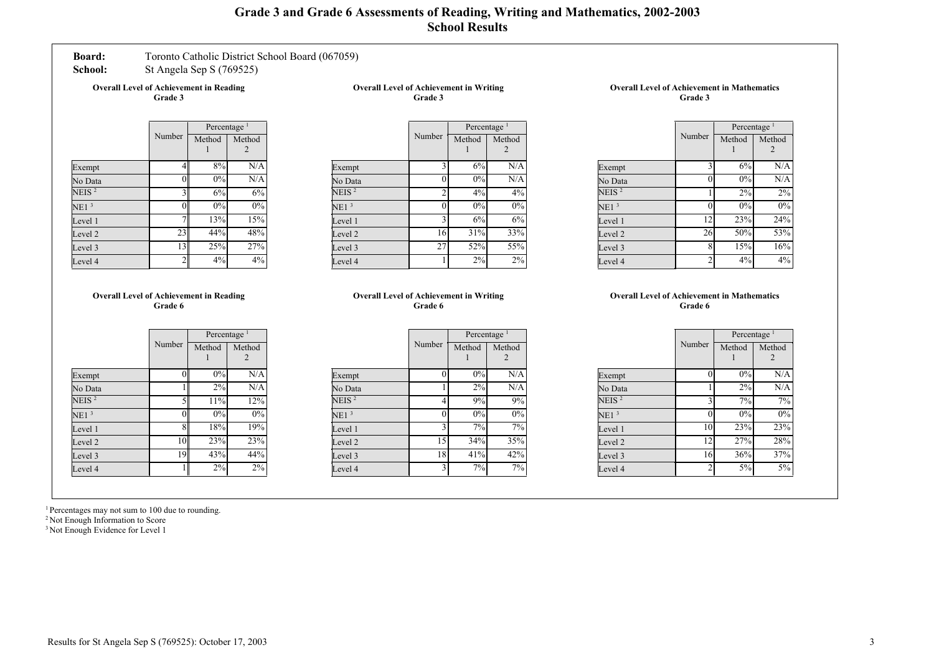# Grade 3 and Grade 6 Assessments of Reading, Writing and Mathematics, 2002-2003 School Results

# Board: Toronto Catholic District School Board (067059)

School: St Angela Sep S (769525)

Overall Level of Achievement in Reading Grade 3

Overall Level of Achievement in Writing Grade 3

|                   |                | Percentage <sup>1</sup> |             |
|-------------------|----------------|-------------------------|-------------|
|                   | Number         | Method                  | Method<br>2 |
| Exempt            | 4              | 8%                      | N/A         |
| No Data           | 0              | 0%                      | N/A         |
| NEIS <sup>2</sup> | 3              | 6%                      | 6%          |
| NE1 <sup>3</sup>  | 0              | $0\%$                   | 0%          |
| Level 1           |                | 13%                     | 15%         |
| Level 2           | 23             | 44%                     | 48%         |
| Level 3           | 13             | 25%                     | 27%         |
| Level 4           | $\overline{2}$ | 4%                      | 4%          |

|                  |                | Percentage <sup>1</sup> |             |
|------------------|----------------|-------------------------|-------------|
|                  | Number         | Method                  | Method<br>2 |
| Exempt           | 3              | 6%                      | N/A         |
| No Data          | 0              | 0%                      | N/A         |
| NEIS $^2$        | $\overline{2}$ | 4%                      | 4%          |
| NE1 <sup>3</sup> | O              | 0%                      | 0%          |
| Level 1          | 3              | 6%                      | 6%          |
| Level 2          | 16             | 31%                     | 33%         |
| Level 3          | 27             | 52%                     | 55%         |
| Level 4          |                | 2%                      | 2%          |

#### Overall Level of Achievement in Mathematics Grade 3

|                   |                | Percentage <sup>1</sup> |             |
|-------------------|----------------|-------------------------|-------------|
|                   | Number         | Method                  | Method<br>2 |
| Exempt            | 3              | 6%                      | N/A         |
| No Data           | 0              | 0%                      | N/A         |
| NEIS <sup>2</sup> |                | 2%                      | 2%          |
| NE1 <sup>3</sup>  |                | 0%                      | $0\%$       |
| Level 1           | 12             | 23%                     | 24%         |
| Level 2           | 26             | 50%                     | 53%         |
| Level 3           | 8              | 15%                     | 16%         |
| Level 4           | $\overline{2}$ | 4%                      | 4%          |

#### Overall Level of Achievement in Reading Grade 6

|                   |          | Percentage <sup>1</sup> |        |
|-------------------|----------|-------------------------|--------|
|                   | Number   | Method                  | Method |
| Exempt            | $\theta$ | 0%                      | N/A    |
| No Data           |          | 2%                      | N/A    |
| NEIS <sup>2</sup> | 5        | 11%                     | 12%    |
| NE1 <sup>3</sup>  | 0        | 0%                      | 0%     |
| Level 1           | 8        | 18%                     | 19%    |
| Level 2           | 10       | 23%                     | 23%    |
| Level 3           | 19       | 43%                     | 44%    |
| Level 4           |          | 2%                      | 2%     |

#### Overall Level of Achievement in Writing Grade 6

|    | Percentage <sup>1</sup> |        |
|----|-------------------------|--------|
|    | Method                  | Method |
|    |                         |        |
| 0  | 0%                      | N/A    |
|    | 2%                      | N/A    |
| 4  | 9%                      | 9%     |
| 0  | 0%                      | 0%     |
| 3  | 7%                      | 7%     |
| 15 | 34%                     | 35%    |
| 18 | 41%                     | 42%    |
| 3  | 7%                      | 7%     |
|    | Number                  |        |

#### Overall Level of Achievement in Mathematics Grade 6

|                  |                    | Percentage <sup>1</sup> |        |
|------------------|--------------------|-------------------------|--------|
|                  | Number             | Method                  | Method |
|                  |                    |                         |        |
| Exempt           | $\Omega$           | 0%                      | N/A    |
| No Data          |                    | 2%                      | N/A    |
| NEIS $^2$        | $\mathbf{\hat{z}}$ | 7%                      | 7%     |
| NE1 <sup>3</sup> | O                  | 0%                      | 0%     |
| Level 1          | 10                 | 23%                     | $23\%$ |
| Level 2          | 12                 | 27%                     | 28%    |
| Level 3          | 16                 | 36%                     | 37%    |
| Level 4          | $\overline{2}$     | 5%                      | 5%     |
|                  |                    |                         |        |

<sup>1</sup> Percentages may not sum to 100 due to rounding.

<sup>2</sup> Not Enough Information to Score

<sup>3</sup> Not Enough Evidence for Level 1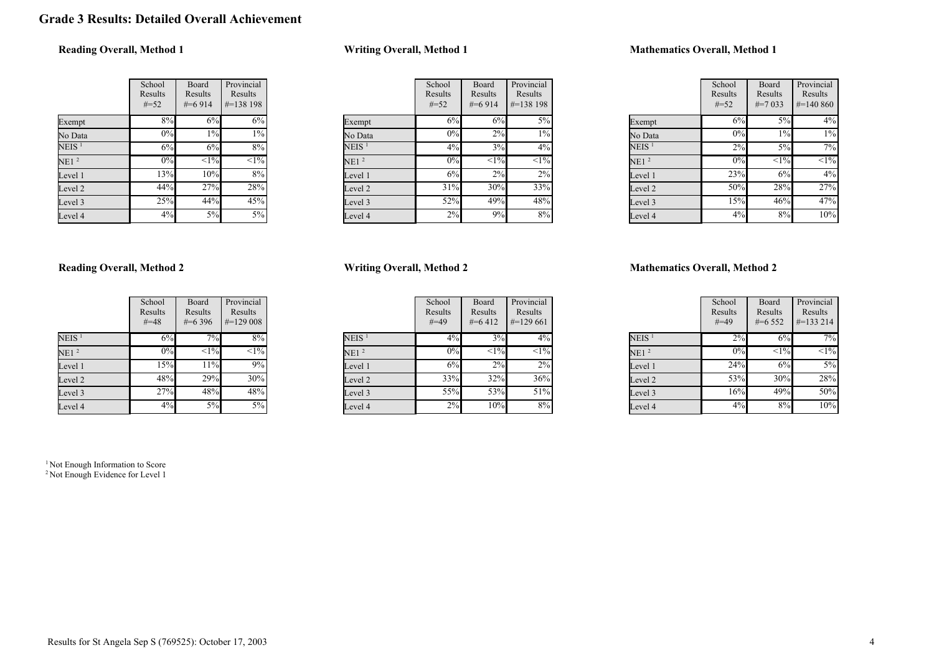# Grade 3 Results: Detailed Overall Achievement

# Reading Overall, Method 1

|                  | School<br>Results<br>$#=52$ | Board<br>Results<br>$\#=6914$ | Provincial<br>Results<br>#=138 198 |
|------------------|-----------------------------|-------------------------------|------------------------------------|
| Exempt           | 8%                          | 6%                            | 6%                                 |
| No Data          | 0%                          | $1\%$                         | 1%                                 |
| $\rm NEIS$ $^1$  | 6%                          | 6%                            | 8%                                 |
| NE1 <sup>2</sup> | 0%                          | $\overline{<}1\%$             | $\overline{<}1\%$                  |
| Level 1          | 13%                         | 10%                           | 8%                                 |
| Level 2          | 44%                         | 27%                           | 28%                                |
| Level 3          | 25%                         | 44%                           | 45%                                |
| Level 4          | 4%                          | 5%                            | 5%                                 |

# Writing Overall, Method 1

|                   | School<br>Results<br>$#=52$ | Board<br>Results<br>$#=6914$ | Provincial<br>Results<br>$\#=138$ 198 |
|-------------------|-----------------------------|------------------------------|---------------------------------------|
| Exempt            | 6%                          | 6%                           | $5\%$                                 |
| No Data           | 0%                          | $2\%$                        | $1\%$                                 |
| NEIS <sup>1</sup> | 4%                          | 3%                           | 4%                                    |
| NE1 <sup>2</sup>  | $0\%$                       | $\overline{<}1\%$            | $\overline{<}1\%$                     |
| Level 1           | 6%                          | 2%                           | 2%                                    |
| Level 2           | 31%                         | 30%                          | 33%                                   |
| Level 3           | 52%                         | 49%                          | 48%                                   |
| Level 4           | 2%                          | 9%                           | 8%                                    |

# Mathematics Overall, Method 1

|                  | School<br>Results<br>$#=52$ | Board<br>Results<br>$\#=7033$ | Provincial<br>Results<br>$\#=140\,860$ |
|------------------|-----------------------------|-------------------------------|----------------------------------------|
| Exempt           | 6%                          | 5%                            | 4%                                     |
| No Data          | 0%                          | $1\%$                         | $1\%$                                  |
| $NEIS$ $^{1}$    | 2%                          | 5%                            | 7%                                     |
| NE1 <sup>2</sup> | 0%                          | <1%                           | $<1\%$                                 |
| Level 1          | 23%                         | 6%                            | 4%                                     |
| Level 2          | 50%                         | 28%                           | 27%                                    |
| Level 3          | 15%                         | 46%                           | 47%                                    |
| Level 4          | 4%                          | 8%                            | 10%                                    |

# Reading Overall, Method 2

|                   | School<br>Results<br>$#=48$ | Board<br>Results<br>$\#=6396$ | Provincial<br>Results<br>$\#=129008$ |
|-------------------|-----------------------------|-------------------------------|--------------------------------------|
| NEIS <sup>1</sup> | 6%                          | 7%                            | 8%                                   |
| NE1 <sup>2</sup>  | 0%                          | $\overline{<}1\%$             | $\overline{<}1\%$                    |
| Level 1           | 15%                         | 11%                           | 9%                                   |
| Level 2           | 48%                         | 29%                           | 30%                                  |
| Level 3           | 27%                         | 48%                           | 48%                                  |
| Level 4           | 4%                          | 5%                            | 5%                                   |

<sup>1</sup> Not Enough Information to Score

<sup>2</sup> Not Enough Evidence for Level 1

# Writing Overall, Method 2

|                   | School<br>Results<br>$#=49$ | Board<br>Results<br>$#=6412$ | Provincial<br>Results<br>$\#=129661$ |
|-------------------|-----------------------------|------------------------------|--------------------------------------|
| NEIS <sup>1</sup> | 4%                          | 3%                           | $4\%$                                |
| NE1 <sup>2</sup>  | 0%                          | $\overline{<}1\%$            | $<1\%$                               |
| Level 1           | 6%                          | 2%                           | $2\%$                                |
| Level 2           | 33%                         | $32\sqrt{6}$                 | 36%                                  |
| Level 3           | 55%                         | 53%                          | 51%                                  |
| Level 4           | 2%                          | 10%                          | 8%                                   |

|                   | School<br>Results<br>$#=49$ | Board<br>Results<br>$#=6552$ | Provincial<br>Results<br>$\#=133214$ |
|-------------------|-----------------------------|------------------------------|--------------------------------------|
| NEIS <sup>1</sup> | 2%                          | 6%                           | 7%                                   |
| NE1 <sup>2</sup>  | $0\%$                       | $\overline{<}1\%$            | $\sqrt{-1\%}$                        |
| Level 1           | 24%                         | 6%                           | 5%                                   |
| Level 2           | 53%                         | 30%                          | 28%                                  |
| Level 3           | 16%                         | 49%                          | 50%                                  |
| Level 4           | 4%                          | 8%                           | 10%                                  |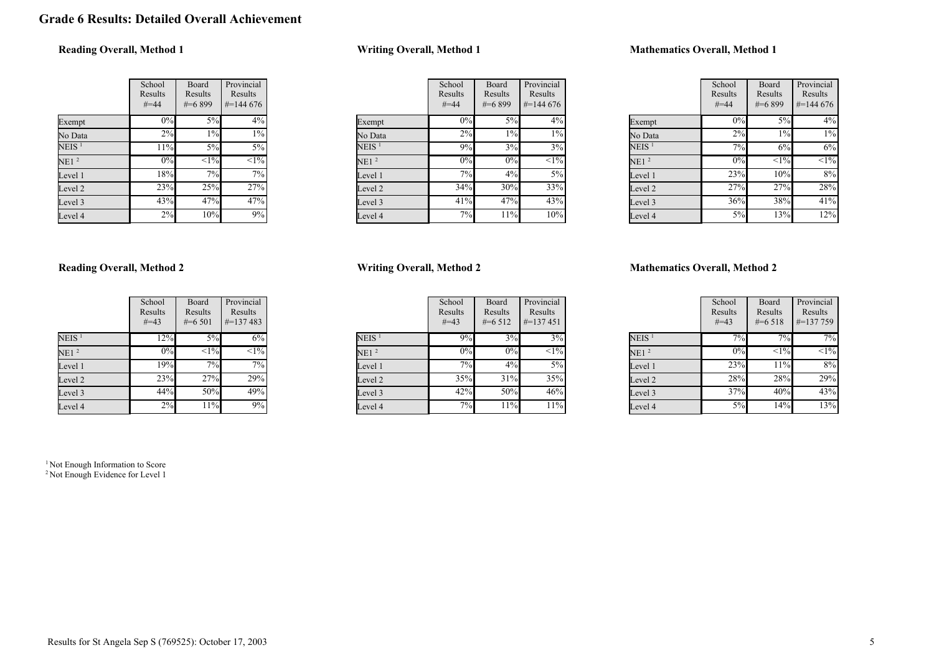# Grade 6 Results: Detailed Overall Achievement

# Reading Overall, Method 1

|                  | School<br>Results<br>$#=44$ | Board<br>Results<br>$\#$ =6899 | Provincial<br>Results<br>$\#$ =144 676 |
|------------------|-----------------------------|--------------------------------|----------------------------------------|
| Exempt           | $0\%$                       | 5%                             | 4%                                     |
| No Data          | 2%                          | $1\%$                          | 1%                                     |
| $\rm NEIS$ $^1$  | 11%                         | 5%                             | 5%                                     |
| NE1 <sup>2</sup> | 0%                          | $\overline{<}1\%$              | $\overline{<}1\%$                      |
| Level 1          | 18%                         | 7%                             | 7%                                     |
| Level 2          | 23%                         | 25%                            | 27%                                    |
| Level 3          | 43%                         | 47%                            | 47%                                    |
| Level 4          | 2%                          | 10%                            | 9%                                     |

# Writing Overall, Method 1

|                   | School<br>Results<br>$#=44$ | Board<br>Results<br>#=6899 | Provincial<br>Results<br>$\#=144\,676$ |
|-------------------|-----------------------------|----------------------------|----------------------------------------|
| Exempt            | 0%                          | 5%                         | $4\%$                                  |
| No Data           | 2%                          | $1\%$                      | $1\%$                                  |
| NEIS <sup>1</sup> | 9%                          | 3%                         | 3%                                     |
| NE1 <sup>2</sup>  | 0%                          | 0%                         | $\overline{<}1\%$                      |
| Level 1           | 7%                          | 4%                         | $5\%$                                  |
| Level 2           | 34%                         | 30%                        | 33%                                    |
| Level 3           | 41%                         | 47%                        | 43%                                    |
| Level 4           | 7%                          | 11%                        | 10%                                    |

# Mathematics Overall, Method 1

|                   | School<br>Results<br>$#=44$ | Board<br>Results<br>$#=6899$ | Provincial<br>Results<br>$#=144676$ |
|-------------------|-----------------------------|------------------------------|-------------------------------------|
| Exempt            | $0\%$                       | 5%                           | 4%                                  |
| No Data           | 2%                          | $1\%$                        | $1\%$                               |
| NEIS <sup>1</sup> | 7%                          | 6%                           | 6%                                  |
| NE1 <sup>2</sup>  | $0\%$                       | $<1\%$                       | $<1\%$                              |
| Level 1           | 23%                         | 10%                          | 8%                                  |
| Level 2           | 27%                         | 27%                          | 28%                                 |
| Level 3           | 36%                         | 38%                          | 41%                                 |
| Level 4           | 5%                          | 13%                          | 12%                                 |

# Reading Overall, Method 2

|                   | School<br>Results<br>$#=43$ | Board<br>Results<br>$\#=6501$ | Provincial<br>Results<br>$\# = 137483$ |
|-------------------|-----------------------------|-------------------------------|----------------------------------------|
| NEIS <sup>1</sup> | 12%                         | 5%                            | 6%                                     |
| NE1 <sup>2</sup>  | 0%                          | $<1\%$                        | $\sqrt{1\%}$                           |
| Level 1           | 19%                         | 7%                            | 7%                                     |
| Level 2           | 23%                         | 27%                           | 29%                                    |
| Level 3           | 44%                         | 50%                           | 49%                                    |
| Level 4           | 2%                          | 11%                           | 9%                                     |

<sup>1</sup> Not Enough Information to Score <sup>2</sup> Not Enough Evidence for Level 1

# Writing Overall, Method 2

|                   | School<br>Results<br>$#=43$ | Board<br>Results<br>$#=6512$ | Provincial<br>Results<br>$\#=137451$ |
|-------------------|-----------------------------|------------------------------|--------------------------------------|
| NEIS <sup>1</sup> | 9%                          | 3%                           | 3%                                   |
| NE1 <sup>2</sup>  | 0%                          | 0%                           | $\leq$ 1%                            |
| Level 1           | 7%                          | 4%                           | $5\%$                                |
| Level 2           | 35%                         | $31\%$                       | 35%                                  |
| Level 3           | 42%                         | 50%                          | 46%                                  |
| Level 4           | 7%                          | 11%                          | 11%                                  |

|                   | School<br>Results<br>$#=43$ | Board<br>Results<br>$#=6518$ | Provincial<br>Results<br>$\#$ =137 759 |
|-------------------|-----------------------------|------------------------------|----------------------------------------|
| NEIS <sup>1</sup> | 7%                          | 7%                           | 7%                                     |
| NE1 <sup>2</sup>  | $0\%$                       | $\leq$ 1%                    | $\sqrt{1\%}$                           |
| Level 1           | 23%                         | 11%                          | 8%                                     |
| Level 2           | 28%                         | 28%                          | 29%                                    |
| Level 3           | 37%                         | 40%                          | 43%                                    |
| Level 4           | 5%                          | 14%                          | 13%                                    |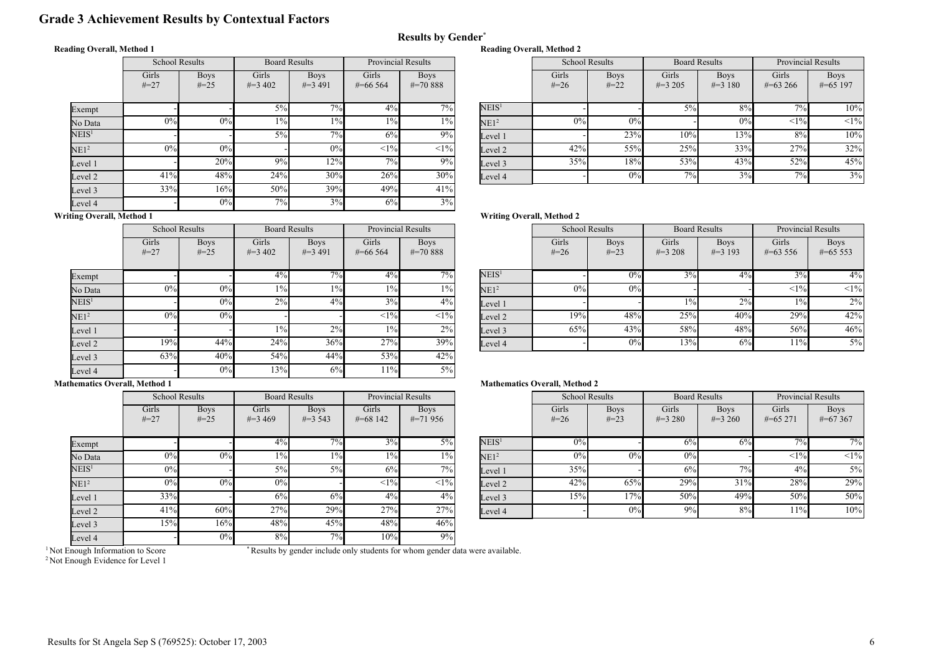# Grade 3 Achievement Results by Contextual Factors

#### Reading Overall, Method 1

|                   | <b>School Results</b> |                          | <b>Board Results</b> |                           | <b>Provincial Results</b> |                             |  |
|-------------------|-----------------------|--------------------------|----------------------|---------------------------|---------------------------|-----------------------------|--|
|                   | Girls<br>$#=27$       | <b>Boys</b><br>$\# = 25$ | Girls<br>$\#=3,402$  | <b>Boys</b><br>$\#=3,491$ | Girls<br>$\#$ =66 564     | <b>Boys</b><br>$\# = 70888$ |  |
| Exempt            |                       |                          | $5\%$                | 7%                        | $4\%$                     | 7%                          |  |
| No Data           | 0%                    | 0%                       | $1\%$                | $1\%$                     | $1\%$                     | $1\%$                       |  |
| $\mathrm{NEIS}^1$ |                       |                          | $5\%$                | 7%                        | 6%                        | 9%                          |  |
| NE1 <sup>2</sup>  | 0%                    | $0\%$                    |                      | 0%                        | <1%                       | <1%                         |  |
| Level 1           |                       | 20%                      | 9%                   | 12%                       | 7%                        | 9%                          |  |
| Level 2           | 41%                   | 48%                      | 24%                  | 30%                       | 26%                       | 30%                         |  |
| Level 3           | 33%                   | 16%                      | 50%                  | 39%                       | 49%                       | 41%                         |  |
| Level 4           |                       | 0%                       | 7%                   | 3%                        | 6%                        | 3%                          |  |

| Provincial Results |                               |                   | <b>School Results</b><br><b>Board Results</b> |             | <b>Provincial Results</b> |             |              |             |
|--------------------|-------------------------------|-------------------|-----------------------------------------------|-------------|---------------------------|-------------|--------------|-------------|
| irls               | <b>Boys</b>                   |                   | Girls                                         | <b>Boys</b> | Girls                     | <b>Boys</b> | Girls        | <b>Boys</b> |
| 6 5 6 4            | $\# = 70.888$                 |                   | $#=26$                                        | $#=22$      | $\#=3,205$                | $\#=3$ 180  | $\#=63\,266$ | $\#=65$ 197 |
|                    |                               |                   |                                               |             |                           |             |              |             |
| 4%                 | $\overline{7\%}$ <sub>1</sub> | NEIS <sup>1</sup> |                                               |             | $5\%$                     | 8%          | $7\%$        | 10%         |
| $1\%$              | $1\%$                         | NE1 <sup>2</sup>  | 0%                                            | 0%          |                           | 0%          | <1%          | $<1\%$      |
| 6%                 | 9%                            | Level 1           |                                               | 23%         | 10%                       | 13%         | 8%           | 10%         |
| <1%                | $<$ 1% $ $                    | Level 2           | 42%                                           | 55%         | 25%                       | 33%         | 27%          | 32%         |
| 7%                 | 9%                            | Level 3           | 35%                                           | 18%         | 53%                       | 43%         | 52%          | 45%         |
| 26%                | 30%                           | Level 4           |                                               | 0%          | $7\%$                     | 3%          | 7%           | 3%          |

# Writing Overall, Method 1

|                   | <b>School Results</b> |                          | <b>Board Results</b> |                           | <b>Provincial Results</b> |                              |  |
|-------------------|-----------------------|--------------------------|----------------------|---------------------------|---------------------------|------------------------------|--|
|                   | Girls<br>$#=27$       | <b>Boys</b><br>$\# = 25$ | Girls<br>$\#=3,402$  | <b>Boys</b><br>$\#=3$ 491 | Girls<br>$\#$ =66 564     | <b>Boys</b><br>$\# = 70.888$ |  |
| Exempt            |                       |                          | 4%                   | 7%                        | 4%                        | $7\%$                        |  |
| No Data           | 0%                    | 0%                       | $1\%$                | $1\%$                     | $1\%$                     | $1\%$                        |  |
| NEIS <sup>1</sup> |                       | 0%                       | 2%                   | 4%                        | 3%                        | 4%                           |  |
| NE1 <sup>2</sup>  | 0%                    | 0%                       |                      |                           | <1%                       | <1%                          |  |
| Level 1           |                       |                          | $1\%$                | 2%                        | $1\%$                     | 2%                           |  |
| Level 2           | 19%                   | 44%                      | 24%                  | 36%                       | 27%                       | 39%                          |  |
| Level 3           | 63%                   | 40%                      | 54%                  | 44%                       | 53%                       | 42%                          |  |
| Level 4           |                       | 0%                       | 13%                  | 6%                        | 11%                       | $5\%$                        |  |

# Writing Overall, Method 2

Reading Overall, Method 2

Results by Gender\*

| <b>Provincial Results</b> |                              |                   | <b>School Results</b> |                       | <b>Board Results</b> |                           | <b>Provincial Results</b> |                           |
|---------------------------|------------------------------|-------------------|-----------------------|-----------------------|----------------------|---------------------------|---------------------------|---------------------------|
| irls<br>6 5 6 4           | <b>Boys</b><br>$\# = 70.888$ |                   | Girls<br>$#=26$       | <b>Boys</b><br>$#=23$ | Girls<br>$\#=3208$   | <b>Boys</b><br>$\#=3$ 193 | Girls<br>$\#=63\,556$     | <b>Boys</b><br>$\#=65553$ |
| 4%                        | $7\overline{\%}$             | NEIS <sup>1</sup> |                       | 0%                    | 3%                   | 4%                        | 3%                        | $4\%$                     |
| $1\%$                     | $1\%$                        | NE1 <sup>2</sup>  | 0%                    | 0%                    |                      |                           | <1%                       | <1%                       |
| 3%                        | $4\%$                        | Level 1           |                       |                       | $1\%$                | 2%                        | $1\%$                     | $2\%$                     |
| <1%                       | $<1\%$                       | Level 2           | 19%                   | 48%                   | 25%                  | 40%                       | 29%                       | 42%                       |
| $1\%$                     | 2%                           | Level 3           | 65%                   | 43%                   | 58%                  | 48%                       | 56%                       | 46%                       |
| 27%                       | 39%                          | Level 4           |                       | 0%                    | 13%                  | 6%                        | $11\%$                    | 5%                        |

#### Mathematics Overall, Method 1

|                   | <b>School Results</b> |                       | <b>Board Results</b> |                           | <b>Provincial Results</b> |                           |  |
|-------------------|-----------------------|-----------------------|----------------------|---------------------------|---------------------------|---------------------------|--|
|                   | Girls<br>$#=27$       | <b>Boys</b><br>$#=25$ | Girls<br>$\#=3469$   | <b>Boys</b><br>$\#=3$ 543 | Girls<br>$\# = 68142$     | <b>Boys</b><br>$\#=71956$ |  |
| Exempt            |                       |                       | $4\%$                | 7%                        | 3%                        | $5\%$                     |  |
| No Data           | 0%                    | 0%                    | $1\%$                | $1\%$                     | $1\%$                     | $1\%$                     |  |
| $\mathrm{NEIS}^1$ | 0%                    |                       | 5%                   | $5\%$                     | 6%                        | 7%                        |  |
| NE1 <sup>2</sup>  | 0%                    | 0%                    | 0%                   |                           | <1%                       | <1%                       |  |
| Level 1           | 33%                   |                       | 6%                   | 6%                        | $4\%$                     | 4%                        |  |
| Level 2           | 41%                   | 60%                   | 27%                  | 29%                       | 27%                       | 27%                       |  |
| Level 3           | 15%                   | 16%                   | 48%                  | 45%                       | 48%                       | 46%                       |  |
| Level 4           |                       | 0%                    | 8%                   | 7%                        | 10%                       | 9%                        |  |

#### Mathematics Overall, Method 2

| <b>Provincial Results</b> |                           |                   |                 | <b>School Results</b><br><b>Board Results</b> |                    |                          | <b>Provincial Results</b> |                           |
|---------------------------|---------------------------|-------------------|-----------------|-----------------------------------------------|--------------------|--------------------------|---------------------------|---------------------------|
| irls<br>8 1 4 2           | <b>Boys</b><br>$\#=71956$ |                   | Girls<br>$#=26$ | <b>Boys</b><br>$#=23$                         | Girls<br>$\#=3280$ | <b>Boys</b><br>$\#=3260$ | Girls<br>$\#=65271$       | <b>Boys</b><br>$\#=67367$ |
| 3%                        | $5\%$                     | NEIS <sup>1</sup> | 0%              |                                               | 6%                 | 6%                       | $7\%$                     | $7\overline{\%}$          |
| $1\%$                     | $1\%$                     | NE1 <sup>2</sup>  | 0%              | 0%                                            | 0%                 |                          | <1%                       | $<1\%$                    |
| 6%                        | 7%1                       | Level 1           | 35%             |                                               | 6%                 | 7%                       | 4%                        | 5%                        |
| <1%                       | $<$ 1% $ $                | Level 2           | 42%             | 65%                                           | 29%                | 31%                      | 28%                       | 29%                       |
| 4%                        | $4\%$                     | Level 3           | 15%             | 17%                                           | 50%                | 49%                      | 50%                       | 50%                       |
| 27%                       | 27%                       | Level 4           |                 | 0%                                            | 9%                 | 8%                       | 11%                       | 10%                       |

<sup>1</sup> Not Enough Information to Score

\* Results by gender include only students for whom gender data were available.

<sup>2</sup> Not Enough Evidence for Level 1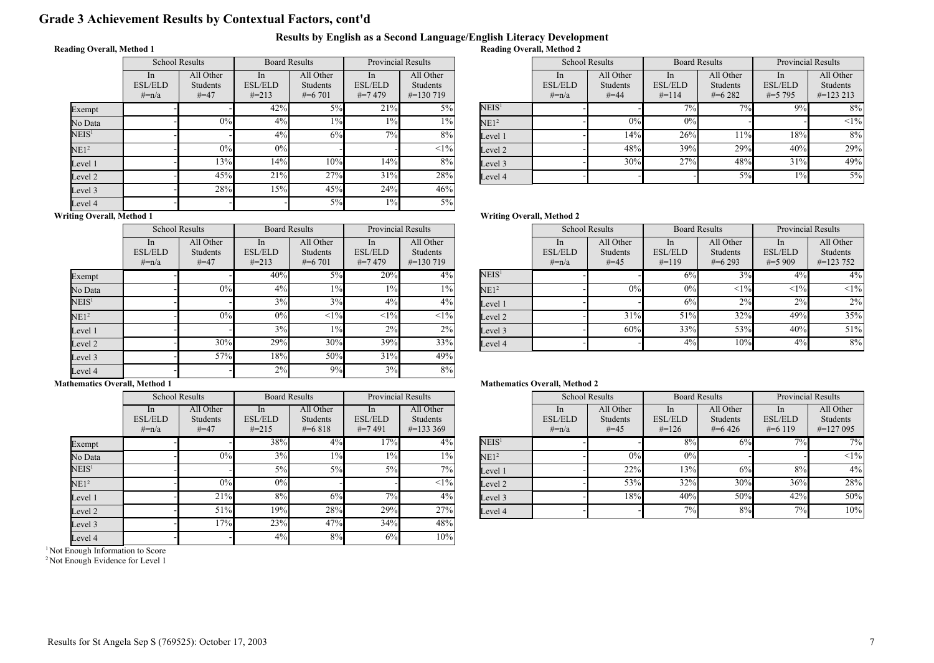# Grade 3 Achievement Results by Contextual Factors, cont'd

#### Results by English as a Second Language/English Literacy Development Reading Overall, Method 2

## Reading Overall, Method 1

|                   | <b>School Results</b>              |                                 | <b>Board Results</b>               |                                    | <b>Provincial Results</b>        |                                      |  |
|-------------------|------------------------------------|---------------------------------|------------------------------------|------------------------------------|----------------------------------|--------------------------------------|--|
|                   | In<br><b>ESL/ELD</b><br>$\# = n/a$ | All Other<br>Students<br>$#=47$ | In<br><b>ESL/ELD</b><br>$\# = 213$ | All Other<br>Students<br>$\#=6701$ | In<br><b>ESL/ELD</b><br>$#=7479$ | All Other<br>Students<br>$\#=130719$ |  |
| Exempt            |                                    |                                 | 42%                                | 5%                                 | 21%                              | 5%                                   |  |
| No Data           |                                    | 0%                              | 4%                                 | $1\%$                              | $1\%$                            | $1\%$                                |  |
| $\mathrm{NEIS}^1$ |                                    |                                 | $4\%$                              | 6%                                 | 7%                               | 8%                                   |  |
| NE1 <sup>2</sup>  |                                    | 0%                              | 0%                                 |                                    |                                  | $<1\%$                               |  |
| Level 1           |                                    | 13%                             | 14%                                | 10%                                | 14%                              | 8%                                   |  |
| Level 2           |                                    | 45%                             | 21%                                | 27%                                | 31%                              | 28%                                  |  |
| Level 3           |                                    | 28%                             | 15%                                | 45%                                | 24%                              | 46%                                  |  |
| Level 4           |                                    |                                 |                                    | $5\%$                              | $1\%$                            | $5\%$                                |  |

| <b>Provincial Results</b> |                                               |                   | <b>School Results</b>                      |                                   | <b>Board Results</b>                       |                                   | <b>Provincial Results</b>                      |                                        |
|---------------------------|-----------------------------------------------|-------------------|--------------------------------------------|-----------------------------------|--------------------------------------------|-----------------------------------|------------------------------------------------|----------------------------------------|
| In<br>/ELD<br>7479        | All Other<br><b>Students</b><br>$\#$ =130 719 |                   | <sub>In</sub><br><b>ESL/ELD</b><br>$#=n/a$ | All Other<br>Students<br>$# = 44$ | <sub>In</sub><br><b>ESL/ELD</b><br>$#=114$ | All Other<br>Students<br>$#=6282$ | <sub>1</sub> n<br><b>ESL/ELD</b><br>$\#=5$ 795 | All Other<br>Students<br>$\#$ =123 213 |
| 21%                       | $5\%$                                         | NEIS <sup>1</sup> |                                            |                                   | $7\%$                                      | $7\%$                             | 9%                                             | 8%                                     |
| $1\%$                     | $1\%$                                         | NE1 <sup>2</sup>  |                                            | 0%                                | 0%                                         |                                   |                                                | <1%                                    |
| 7%                        | 8%                                            | Level 1           |                                            | 14%                               | 26%                                        | 11%                               | 18%                                            | 8%                                     |
|                           | $<1\%$                                        | Level 2           |                                            | 48%                               | 39%                                        | 29%                               | 40%                                            | 29%                                    |
| 14%                       | 8%                                            | Level 3           |                                            | 30%                               | 27%                                        | 48%                               | 31%                                            | 49%                                    |
| 31%                       | 28%                                           | Level 4           |                                            |                                   |                                            | 5%                                | $1\%$                                          | $5\%$                                  |

# Writing Overall, Method 1

|                   | <b>School Results</b>               |                                   | <b>Board Results</b>                           |                                           | <b>Provincial Results</b>           |                                      |  |
|-------------------|-------------------------------------|-----------------------------------|------------------------------------------------|-------------------------------------------|-------------------------------------|--------------------------------------|--|
|                   | ln.<br><b>ESL/ELD</b><br>$\# = n/a$ | All Other<br>Students<br>$# = 47$ | <sub>1</sub> n<br><b>ESL/ELD</b><br>$\# = 213$ | All Other<br><b>Students</b><br>$\#=6701$ | In<br><b>ESL/ELD</b><br>$\# = 7479$ | All Other<br>Students<br>$\#=130719$ |  |
| Exempt            |                                     |                                   | 40%                                            | $5\%$                                     | 20%                                 | $4\%$                                |  |
| No Data           |                                     | 0%                                | 4%                                             | $1\%$                                     | $1\%$                               | $1\%$                                |  |
| NEIS <sup>1</sup> |                                     |                                   | 3%                                             | 3%                                        | 4%                                  | 4%                                   |  |
| NE1 <sup>2</sup>  |                                     | 0%                                | 0%                                             | $<1\%$                                    | <1%                                 | $<1\%$                               |  |
| Level 1           |                                     |                                   | 3%                                             | $1\%$                                     | 2%                                  | $2\%$                                |  |
| Level 2           |                                     | 30%                               | 29%                                            | 30%                                       | 39%                                 | 33%                                  |  |
| Level 3           |                                     | 57%                               | 18%                                            | 50%                                       | 31%                                 | 49%                                  |  |
| Level 4           |                                     |                                   | 2%                                             | 9%                                        | 3%                                  | 8%                                   |  |

# Mathematics Overall, Method 1

|                   |                                  | <b>School Results</b>                    | <b>Board Results</b>                          |                                    | <b>Provincial Results</b>         |                                        |  |
|-------------------|----------------------------------|------------------------------------------|-----------------------------------------------|------------------------------------|-----------------------------------|----------------------------------------|--|
|                   | In.<br><b>ESL/ELD</b><br>$#=n/a$ | All Other<br><b>Students</b><br>$# = 47$ | <sub>In</sub><br><b>ESL/ELD</b><br>$\# = 215$ | All Other<br>Students<br>$\#=6818$ | In<br><b>ESL/ELD</b><br>$\#=7491$ | All Other<br>Students<br>$\#$ =133 369 |  |
| Exempt            |                                  |                                          | 38%                                           | 4%                                 | 17%                               | 4%                                     |  |
| No Data           |                                  | 0%                                       | 3%                                            | $1\%$                              | $1\%$                             | $1\%$                                  |  |
| NEIS <sup>1</sup> |                                  |                                          | 5%                                            | 5%                                 | 5%                                | 7%                                     |  |
| NE1 <sup>2</sup>  |                                  | $0\%$                                    | 0%                                            |                                    |                                   | $<1\%$                                 |  |
| Level 1           |                                  | 21%                                      | 8%                                            | 6%                                 | 7%                                | 4%                                     |  |
| Level 2           |                                  | 51%                                      | 19%                                           | 28%                                | 29%                               | 27%                                    |  |
| Level 3           |                                  | 17%                                      | 23%                                           | 47%                                | 34%                               | 48%                                    |  |
| Level 4           |                                  |                                          | 4%                                            | 8%                                 | 6%                                | 10%                                    |  |

<sup>1</sup> Not Enough Information to Score

<sup>2</sup> Not Enough Evidence for Level 1

#### Writing Overall, Method 2

| <b>Provincial Results</b> |                                               |                   | <b>School Results</b>                          |                                        | <b>Board Results</b>                       |                                             | <b>Provincial Results</b>                     |                                               |
|---------------------------|-----------------------------------------------|-------------------|------------------------------------------------|----------------------------------------|--------------------------------------------|---------------------------------------------|-----------------------------------------------|-----------------------------------------------|
| In<br>/ELD<br>7479        | All Other<br><b>Students</b><br>$\#$ =130 719 |                   | <sub>1</sub> n<br><b>ESL/ELD</b><br>$\# = n/a$ | All Other<br><b>Students</b><br>$#=45$ | <sub>In</sub><br><b>ESL/ELD</b><br>$#=119$ | All Other<br><b>Students</b><br>$\#$ =6.293 | <sub>1</sub> n<br><b>ESL/ELD</b><br>$\#=5909$ | All Other<br><b>Students</b><br>$\#$ =123 752 |
| 20%                       | 4%                                            | NEIS <sup>1</sup> |                                                |                                        | 6%                                         | 3%                                          | 4%                                            | $4\%$                                         |
| $1\%$                     | $1\%$                                         | NE1 <sup>2</sup>  |                                                | 0%                                     | 0%                                         | <1%                                         | <1%                                           | $<1\%$                                        |
| 4%                        | $4\%$                                         | Level 1           |                                                |                                        | 6%                                         | 2%                                          | 2%                                            | 2%                                            |
| <1%                       | <1%                                           | Level 2           |                                                | 31%                                    | 51%                                        | 32%                                         | 49%                                           | 35%                                           |
| 2%                        | $2\%$                                         | Level 3           |                                                | 60%                                    | 33%                                        | 53%                                         | 40%                                           | 51%                                           |
| 39%                       | 33%                                           | Level 4           |                                                |                                        | 4%                                         | 10%                                         | 4%                                            | 8%                                            |

| <b>Provincial Results</b> |                                               |                   | <b>School Results</b>                       |                                 | <b>Board Results</b>                        |                                   | <b>Provincial Results</b>                      |                                        |
|---------------------------|-----------------------------------------------|-------------------|---------------------------------------------|---------------------------------|---------------------------------------------|-----------------------------------|------------------------------------------------|----------------------------------------|
| In<br>/ELD<br>7491        | All Other<br><b>Students</b><br>$\#$ =133 369 |                   | <sub>1</sub> n<br><b>ESL/ELD</b><br>$#=n/a$ | All Other<br>Students<br>$#=45$ | <sub>1</sub> n<br><b>ESL/ELD</b><br>$#=126$ | All Other<br>Students<br>$#=6426$ | <sub>1</sub> n<br><b>ESL/ELD</b><br>$\#=6$ 119 | All Other<br>Students<br>$\#$ =127 095 |
| $17\%$                    | $4\%$                                         | NEIS <sup>1</sup> |                                             |                                 | 8%                                          | 6%                                | 7%                                             | $7\overline{\%}$                       |
| $1\%$                     | $1\%$                                         | NE1 <sup>2</sup>  |                                             | 0%                              | 0%                                          |                                   |                                                | <1%                                    |
| 5%                        | 7%1                                           | Level 1           |                                             | 22%                             | 13%                                         | 6%                                | 8%                                             | 4%                                     |
|                           | $<$ 1% $ $                                    | Level 2           |                                             | 53%                             | 32%                                         | 30%                               | 36%                                            | 28%                                    |
| 7%                        | $4\%$                                         | Level 3           |                                             | 18%                             | 40%                                         | 50%                               | 42%                                            | 50%                                    |
| 29%                       | 27%                                           | Level 4           |                                             |                                 | 7%                                          | 8%                                | 7%                                             | 10%                                    |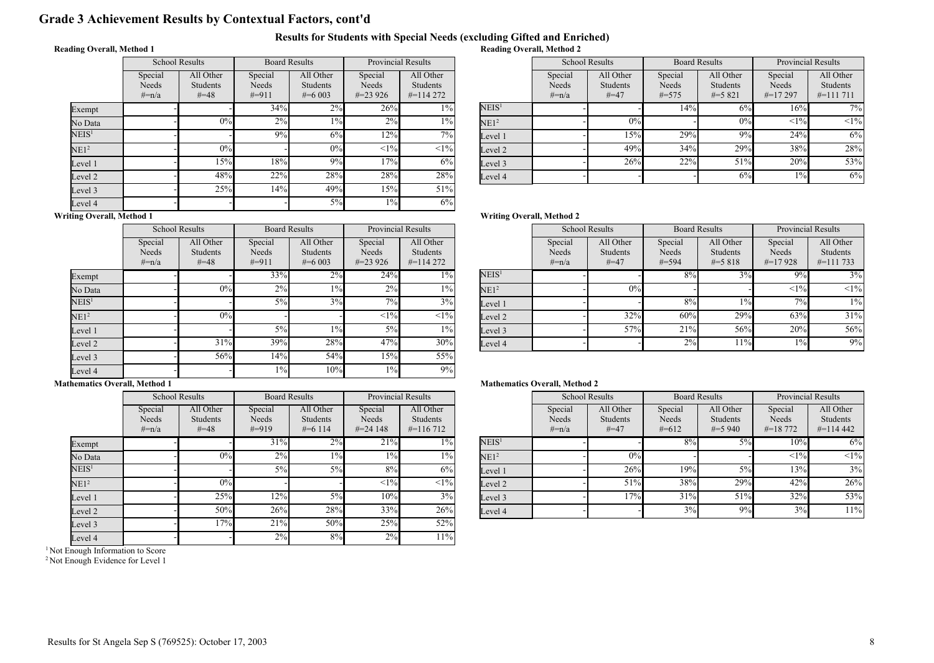# Grade 3 Achievement Results by Contextual Factors, cont'd

#### Results for Students with Special Needs (excluding Gifted and Enriched) Reading Overall, Method 2

# Reading Overall, Method 1

|                   | <b>School Results</b>          |                                          | <b>Board Results</b>         |                                    | <b>Provincial Results</b>      |                                        |  |
|-------------------|--------------------------------|------------------------------------------|------------------------------|------------------------------------|--------------------------------|----------------------------------------|--|
|                   | Special<br>Needs<br>$\# = n/a$ | All Other<br><b>Students</b><br>$# = 48$ | Special<br>Needs<br>$\#=911$ | All Other<br>Students<br>$\#=6003$ | Special<br>Needs<br>$\#=23926$ | All Other<br>Students<br>$\#$ =114 272 |  |
| Exempt            |                                |                                          | 34%                          | $2\%$                              | 26%                            | $1\%$                                  |  |
| No Data           |                                | 0%                                       | 2%                           | $1\%$                              | 2%                             | $1\%$                                  |  |
| $\mathrm{NEIS}^1$ |                                |                                          | 9%                           | 6%                                 | 12%                            | 7%                                     |  |
| NE1 <sup>2</sup>  |                                | 0%                                       |                              | $0\%$                              | <1%                            | $<1\%$                                 |  |
| Level 1           |                                | 15%                                      | 18%                          | 9%                                 | 17%                            | 6%                                     |  |
| Level 2           |                                | 48%                                      | 22%                          | 28%                                | 28%                            | 28%                                    |  |
| Level 3           |                                | 25%                                      | 14%                          | 49%                                | 15%                            | 51%                                    |  |
| Level 4           |                                |                                          |                              | $5\%$                              | $1\%$                          | 6%                                     |  |

| <b>Provincial Results</b> |                                               |                   | <b>School Results</b>       |                                          | <b>Board Results</b>           |                                             | <b>Provincial Results</b>        |                                               |
|---------------------------|-----------------------------------------------|-------------------|-----------------------------|------------------------------------------|--------------------------------|---------------------------------------------|----------------------------------|-----------------------------------------------|
| ecial<br>eeds<br>3926     | All Other<br><b>Students</b><br>$\#$ =114 272 |                   | Special<br>Needs<br>$#=n/a$ | All Other<br><b>Students</b><br>$# = 47$ | Special<br>Needs<br>$\# = 575$ | All Other<br><b>Students</b><br>$\# = 5821$ | Special<br>Needs<br>$\#$ =17 297 | All Other<br><b>Students</b><br>$\#$ =111 711 |
| 26%                       | $1\%$                                         | NEIS <sup>1</sup> |                             |                                          | 14%                            | 6%                                          | 16%                              | 7%                                            |
| 2%                        | $1\%$                                         | NE1 <sup>2</sup>  |                             | 0%                                       |                                | 0%                                          | <1%                              | <1%                                           |
| 12%                       | 7%1                                           | Level 1           |                             | 15%                                      | 29%                            | 9%                                          | 24%                              | 6%                                            |
| <1%                       | $<1\%$                                        | Level 2           |                             | 49%                                      | 34%                            | 29%                                         | 38%                              | 28%                                           |
| 17%                       | 6%                                            | Level 3           |                             | 26%                                      | 22%                            | 51%                                         | 20%                              | 53%                                           |
| 28%                       | 28%                                           | Level 4           |                             |                                          |                                | 6%                                          | $1\%$                            | 6%                                            |

# Writing Overall, Method 1

 $\mathbf{E}$ 

|                   | <b>School Results</b>          |                                   | <b>Board Results</b>        |                                           | <b>Provincial Results</b>      |                                      |  |
|-------------------|--------------------------------|-----------------------------------|-----------------------------|-------------------------------------------|--------------------------------|--------------------------------------|--|
|                   | Special<br>Needs<br>$\# = n/a$ | All Other<br>Students<br>$# = 48$ | Special<br>Needs<br>$#=911$ | All Other<br><b>Students</b><br>$\#=6003$ | Special<br>Needs<br>$\#=23926$ | All Other<br>Students<br>$\#=114272$ |  |
| Exempt            |                                |                                   | 33%                         | 2%                                        | 24%                            | $1\%$                                |  |
| No Data           |                                | 0%                                | 2%                          | $1\%$                                     | 2%                             | $1\%$                                |  |
| NEIS <sup>1</sup> |                                |                                   | $5\%$                       | 3%                                        | 7%                             | 3%                                   |  |
| NE1 <sup>2</sup>  |                                | 0%                                |                             |                                           | <1%                            | $<1\%$                               |  |
| Level 1           |                                |                                   | $5\%$                       | $1\%$                                     | $5\%$                          | $1\%$                                |  |
| Level 2           |                                | 31%                               | 39%                         | 28%                                       | 47%                            | 30%                                  |  |
| Level 3           |                                | 56%                               | 14%                         | 54%                                       | 15%                            | 55%                                  |  |
| Level 4           |                                |                                   | $1\%$                       | 10%                                       | $1\%$                          | 9%                                   |  |

#### Mathematics Overall, Method 1

|                   |                                | <b>School Results</b>             |                              | <b>Board Results</b>                       | <b>Provincial Results</b>       |                                        |  |
|-------------------|--------------------------------|-----------------------------------|------------------------------|--------------------------------------------|---------------------------------|----------------------------------------|--|
|                   | Special<br>Needs<br>$\# = n/a$ | All Other<br>Students<br>$# = 48$ | Special<br>Needs<br>$\#=919$ | All Other<br><b>Students</b><br>$\#=6$ 114 | Special<br>Needs<br>$\#=24$ 148 | All Other<br>Students<br>$\#$ =116 712 |  |
| Exempt            |                                |                                   | 31%                          | 2%                                         | 21%                             | $1\%$                                  |  |
| No Data           |                                | 0%                                | 2%                           | $1\%$                                      | $1\%$                           | $1\%$                                  |  |
| NEIS <sup>1</sup> |                                |                                   | $5\%$                        | 5%                                         | 8%                              | 6%                                     |  |
| NE1 <sup>2</sup>  |                                | 0%                                |                              |                                            | <1%                             | <1%                                    |  |
| Level 1           |                                | 25%                               | 12%                          | 5%                                         | 10%                             | 3%                                     |  |
| Level 2           |                                | 50%                               | 26%                          | 28%                                        | 33%                             | 26%                                    |  |
| Level 3           |                                | 17%                               | 21%                          | 50%                                        | 25%                             | 52%                                    |  |
| Level 4           |                                |                                   | 2%                           | 8%                                         | 2%                              | 11%                                    |  |

<sup>1</sup> Not Enough Information to Score

<sup>2</sup> Not Enough Evidence for Level 1

#### Writing Overall, Method 2

| <b>Provincial Results</b> |                                               |                   | <b>School Results</b>       |                                        | <b>Board Results</b>        |                                      | <b>Provincial Results</b>      |                                               |
|---------------------------|-----------------------------------------------|-------------------|-----------------------------|----------------------------------------|-----------------------------|--------------------------------------|--------------------------------|-----------------------------------------------|
| ecial<br>eeds<br>3926     | All Other<br><b>Students</b><br>$\#$ =114 272 |                   | Special<br>Needs<br>$#=n/a$ | All Other<br><b>Students</b><br>$#=47$ | Special<br>Needs<br>$#=594$ | All Other<br>Students<br>$\# = 5818$ | Special<br>Needs<br>$\#=17928$ | All Other<br><b>Students</b><br>$\#$ =111 733 |
| 24%                       | $1\%$                                         | NEIS <sup>1</sup> |                             |                                        | 8%                          | 3%                                   | $9\%$                          | 3%                                            |
| 2%                        | $1\%$                                         | NE1 <sup>2</sup>  |                             | 0%                                     |                             |                                      | <1%                            | <1%                                           |
| 7%                        | 3%                                            | Level 1           |                             |                                        | 8%                          | $1\%$                                | 7%                             | $1\%$                                         |
| <1%                       | $<1\%$                                        | Level 2           |                             | 32%                                    | 60%                         | 29%                                  | 63%                            | 31%                                           |
| 5%                        | $1\%$                                         | Level 3           |                             | 57%                                    | 21%                         | 56%                                  | 20%                            | 56%                                           |
| 47%                       | 30%                                           | Level 4           |                             |                                        | 2%                          | 11%                                  | $1\%$                          | 9%                                            |

| <b>Provincial Results</b> |                                               |                   | <b>School Results</b>       |                                          | <b>Board Results</b>        |                                    | <b>Provincial Results</b>          |                                        |
|---------------------------|-----------------------------------------------|-------------------|-----------------------------|------------------------------------------|-----------------------------|------------------------------------|------------------------------------|----------------------------------------|
| ecial<br>eeds<br>4 1 4 8  | All Other<br><b>Students</b><br>$\#$ =116.712 |                   | Special<br>Needs<br>$#=n/a$ | All Other<br><b>Students</b><br>$# = 47$ | Special<br>Needs<br>$#=612$ | All Other<br>Students<br>$\#=5940$ | Special<br>Needs<br>$\# = 18\,772$ | All Other<br>Students<br>$\#$ =114 442 |
| 21%                       | $1\%$                                         | NEIS <sup>1</sup> |                             |                                          | 8%                          | 5%                                 | 10%                                | 6%                                     |
| $1\%$                     | $1\%$                                         | NE1 <sup>2</sup>  |                             | 0%                                       |                             |                                    | <1%                                | <1%                                    |
| 8%                        | 6%                                            | Level 1           |                             | 26%                                      | 19%                         | 5%                                 | 13%                                | 3%                                     |
| <1%                       | <1%                                           | Level 2           |                             | 51%                                      | 38%                         | 29%                                | 42%                                | 26%                                    |
| 10%                       | 3%                                            | Level 3           |                             | 17%                                      | 31%                         | 51%                                | 32%                                | 53%                                    |
| 33%                       | 26%                                           | Level 4           |                             |                                          | 3%                          | 9%                                 | 3%                                 | 11%                                    |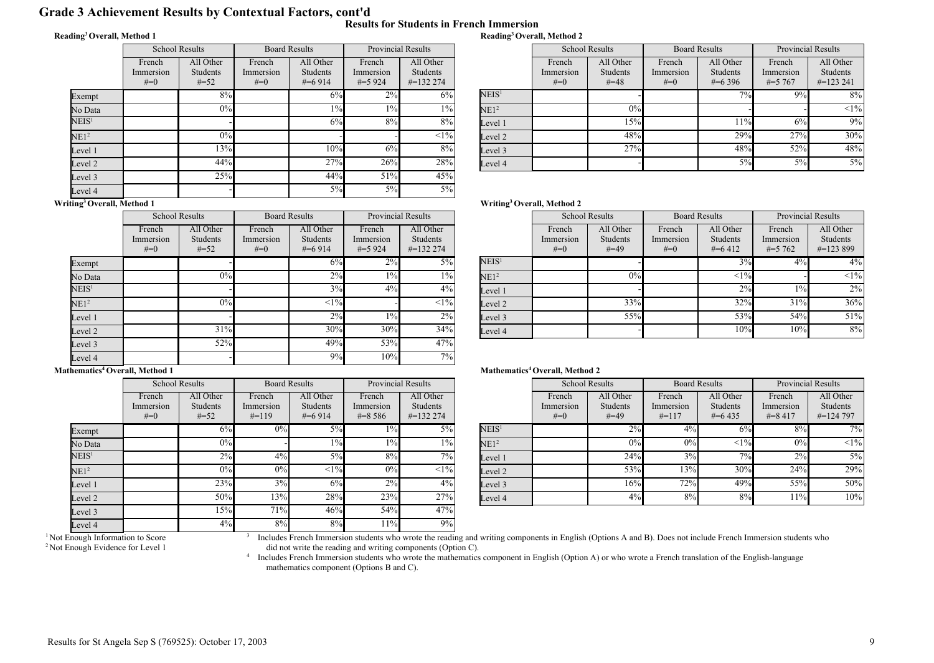# Grade 3 Achievement Results by Contextual Factors, cont'd

#### Reading<sup>3</sup>Overall, Method 1

|  |  | Results for Students in French Immersion |
|--|--|------------------------------------------|
|  |  | Reading <sup>3</sup> Overall, Method 2   |

|                          | <b>School Results</b>          |                                 |                                | <b>Board Results</b>                      | <b>Provincial Results</b>        |                                               |  |
|--------------------------|--------------------------------|---------------------------------|--------------------------------|-------------------------------------------|----------------------------------|-----------------------------------------------|--|
|                          | French<br>Immersion<br>$# = 0$ | All Other<br>Students<br>$#=52$ | French<br>Immersion<br>$# = 0$ | All Other<br><b>Students</b><br>$\#=6914$ | French<br>Immersion<br>$\#=5924$ | All Other<br><b>Students</b><br>$\#$ =132 274 |  |
| Exempt                   |                                | 8%                              |                                | 6%                                        | $2\%$                            | 6%                                            |  |
| No Data                  |                                | 0%                              |                                | $1\%$                                     | $1\%$                            | $1\%$                                         |  |
| NEIS <sup>1</sup>        |                                |                                 |                                | 6%                                        | 8%                               | 8%                                            |  |
| NE1 <sup>2</sup>         |                                | 0%                              |                                |                                           |                                  | <1%                                           |  |
| Level 1                  |                                | 13%                             |                                | 10%                                       | 6%                               | 8%                                            |  |
| Level 2                  |                                | 44%                             |                                | 27%                                       | 26%                              | 28%                                           |  |
| Level 3                  |                                | 25%                             |                                | 44%                                       | 51%                              | 45%                                           |  |
| Level 4<br>$\sim$ $\sim$ |                                |                                 |                                | $5\%$                                     | 5%                               | $5\%$                                         |  |

| <b>Provincial Results</b> |                 |                   | <b>School Results</b> |           | <b>Board Results</b> |                 | <b>Provincial Results</b> |                 |
|---------------------------|-----------------|-------------------|-----------------------|-----------|----------------------|-----------------|---------------------------|-----------------|
| ench                      | All Other       |                   | French                | All Other | French               | All Other       | French                    | All Other       |
| ersion                    | <b>Students</b> |                   | Immersion             | Students  | Immersion            | <b>Students</b> | Immersion                 | <b>Students</b> |
| 5 924                     | $\#$ =132 274   |                   | $#=0$                 | $# = 48$  | $#=0$                | $\#$ =6 396     | $\# = 5,767$              | $\#$ =123 241   |
| 2%                        | 6%              | NEIS <sup>1</sup> |                       |           |                      | $7\%$           | 9%                        | $8\%$           |
| $1\%$                     | $1\%$           | NE1 <sup>2</sup>  |                       | 0%        |                      |                 |                           | $<1\%$          |
| 8%                        | $8\%$           | Level 1           |                       | 15%       |                      | 11%             | 6%                        | 9%              |
|                           | <1%             | Level 2           |                       | 48%       |                      | 29%             | 27%                       | 30%             |
| 6%                        | 8%              | Level 3           |                       | 27%       |                      | 48%             | 52%                       | 48%             |
| 26%                       | 28%             | Level 4           |                       |           |                      | 5%              | $5\%$                     | 5%              |

#### Writing<sup>3</sup>Overall, Method 1

|                   | <b>School Results</b>          |                                 | <b>Board Results</b>           |                                    | <b>Provincial Results</b>        |                                       |
|-------------------|--------------------------------|---------------------------------|--------------------------------|------------------------------------|----------------------------------|---------------------------------------|
|                   | French<br>Immersion<br>$# = 0$ | All Other<br>Students<br>$#=52$ | French<br>Immersion<br>$# = 0$ | All Other<br>Students<br>$\#=6914$ | French<br>Immersion<br>$\#=5924$ | All Other<br>Students<br>$\#=1322274$ |
| Exempt            |                                |                                 |                                | 6%                                 | 2%                               | $5\%$                                 |
| No Data           |                                | 0%                              |                                | 2%                                 | $1\%$                            | $1\%$                                 |
| NEIS <sup>1</sup> |                                |                                 |                                | 3%                                 | 4%                               | 4%                                    |
| NE1 <sup>2</sup>  |                                | 0%                              |                                | <1%                                |                                  | $<1\%$                                |
| Level 1           |                                |                                 |                                | $2\%$                              | $1\%$                            | $2\%$                                 |
| Level 2           |                                | 31%                             |                                | 30%                                | 30%                              | 34%                                   |
| Level 3           |                                | 52%                             |                                | 49%                                | 53%                              | 47%                                   |
| Level 4           |                                |                                 |                                | 9%                                 | 10%                              | 7%                                    |

#### Mathematics<sup>4</sup> Overall, Method 1

|                   | <b>School Results</b>        |                                 | <b>Board Results</b>           |                                    | <b>Provincial Results</b>          |                                               |
|-------------------|------------------------------|---------------------------------|--------------------------------|------------------------------------|------------------------------------|-----------------------------------------------|
|                   | French<br>Immersion<br>$#=0$ | All Other<br>Students<br>$#=52$ | French<br>Immersion<br>$#=119$ | All Other<br>Students<br>$\#=6914$ | French<br>Immersion<br>$\# = 8586$ | All Other<br><b>Students</b><br>$\#$ =132 274 |
| Exempt            |                              | 6%                              | 0%                             | 5%                                 | $1\%$                              | 5%                                            |
| No Data           |                              | 0%                              |                                | $1\%$                              | $1\%$                              | 1%                                            |
| $\mathrm{NEIS}^1$ |                              | 2%                              | 4%                             | 5%                                 | 8%                                 | 7%                                            |
| NE1 <sup>2</sup>  |                              | 0%                              | 0%                             | <1%                                | 0%                                 | $<1\%$                                        |
| Level 1           |                              | 23%                             | 3%                             | 6%                                 | 2%                                 | 4%                                            |
| Level 2           |                              | 50%                             | 13%                            | 28%                                | 23%                                | 27%                                           |
| Level 3           |                              | 15%                             | 71%                            | 46%                                | 54%                                | 47%                                           |
| Level 4           |                              | 4%                              | 8%                             | 8%                                 | 11%                                | 9%                                            |

3

## Writing<sup>3</sup>Overall, Method 2

| <b>Provincial Results</b> |                                        |                   | <b>School Results</b>        |                                 |                              | <b>Board Results</b>                 | <b>Provincial Results</b>           |                                        |
|---------------------------|----------------------------------------|-------------------|------------------------------|---------------------------------|------------------------------|--------------------------------------|-------------------------------------|----------------------------------------|
| ench<br>ersion<br>5924    | All Other<br>Students<br>$\#$ =132 274 |                   | French<br>Immersion<br>$#=0$ | All Other<br>Students<br>$#=49$ | French<br>Immersion<br>$#=0$ | All Other<br>Students<br>$\# = 6412$ | French<br>Immersion<br>$\# = 5,762$ | All Other<br>Students<br>$\#$ =123 899 |
| 2%                        | $5\%$                                  | NEIS <sup>1</sup> |                              |                                 |                              | 3%                                   | 4%                                  | 4%                                     |
| $1\%$                     | $1\%$                                  | NE1 <sup>2</sup>  |                              | 0%                              |                              | <1%                                  |                                     | $<1\%$                                 |
| $4\%$                     | $4\%$                                  | Level 1           |                              |                                 |                              | 2%                                   | $1\%$                               | 2%                                     |
|                           | $<1\%$                                 | Level 2           |                              | 33%                             |                              | 32%                                  | 31%                                 | 36%                                    |
| $1\%$                     | 2%                                     | Level 3           |                              | $55\%$                          |                              | 53%                                  | 54%                                 | 51%                                    |
| 30%                       | 34%                                    | Level 4           |                              |                                 |                              | 10%                                  | 10%                                 | 8%                                     |
| $-0.01$                   | $1 - 0$                                |                   |                              |                                 |                              |                                      |                                     |                                        |

#### Mathematics<sup>4</sup> Overall, Method 2

| <b>Provincial Results</b> |                                               |                   | <b>School Results</b>        |                                        | <b>Board Results</b>           |                                      | <b>Provincial Results</b>          |                                               |
|---------------------------|-----------------------------------------------|-------------------|------------------------------|----------------------------------------|--------------------------------|--------------------------------------|------------------------------------|-----------------------------------------------|
| ench<br>ersion<br>8 5 8 6 | All Other<br><b>Students</b><br>$\#$ =132 274 |                   | French<br>Immersion<br>$#=0$ | All Other<br><b>Students</b><br>$#=49$ | French<br>Immersion<br>$#=117$ | All Other<br>Students<br>$\#$ =6.435 | French<br>Immersion<br>$\# = 8417$ | All Other<br><b>Students</b><br>$\#$ =124 797 |
| $1\%$                     | 5%                                            | NEIS <sup>1</sup> |                              | 2%                                     | 4%                             | 6%                                   | 8%                                 | $7\overline{\%}$                              |
| $1\%$                     | $1\%$                                         | NE1 <sup>2</sup>  |                              | 0%                                     | 0%                             | <1%                                  | 0%                                 | $<1\%$                                        |
| 8%                        | $7\%$ <sub>1</sub>                            | Level 1           |                              | 24%                                    | 3%                             | 7%                                   | 2%                                 | $5\%$                                         |
| 0%                        | $<$ 1% $ $                                    | Level 2           |                              | 53%                                    | 13%                            | 30%                                  | 24%                                | 29%                                           |
| 2%                        | $4\%$                                         | Level 3           |                              | 16%l                                   | 72%                            | 49%                                  | 55%                                | 50%                                           |
| 23%                       | 27%                                           | Level 4           |                              | 4%                                     | 8%                             | 8%                                   | 11%                                | 10%                                           |
|                           |                                               |                   |                              |                                        |                                |                                      |                                    |                                               |

Includes French Immersion students who wrote the reading and writing components in English (Options A and B). Does not include French Immersion students who did not write the reading and writing components (Option C).<br><sup>4</sup> Includes French Immersion students who wrote the mathematics component in English (Option A) or who wrote a French translation of the English-language

mathematics component (Options B and C).

<sup>&</sup>lt;sup>1</sup> Not Enough Information to Score <sup>2</sup> Not Enough Evidence for Level 1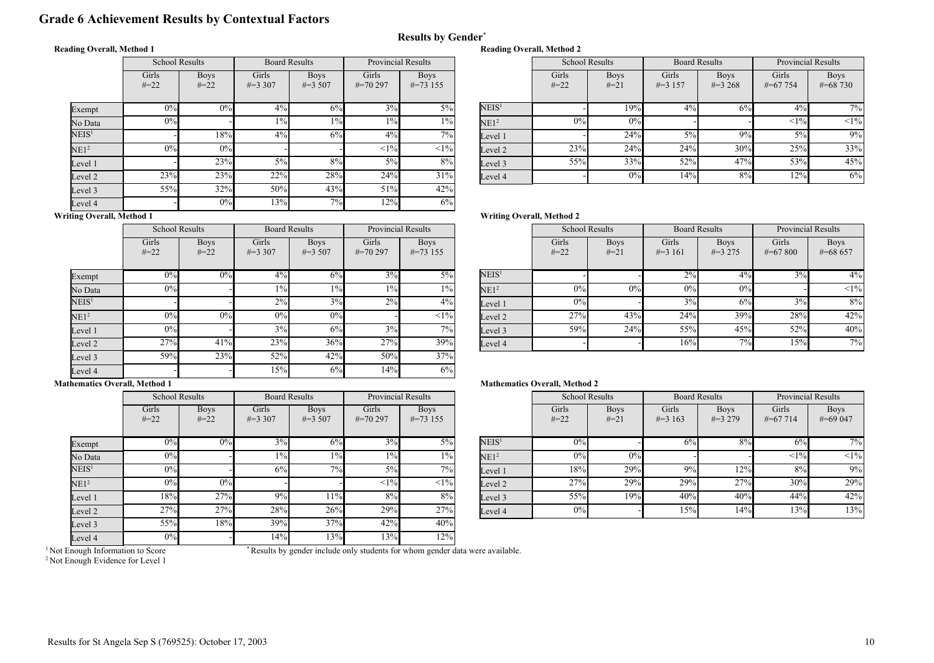# Grade 6 Achievement Results by Contextual Factors

## Reading Overall, Method 1

|                   | <b>School Results</b> |                       | <b>Board Results</b> |                           | <b>Provincial Results</b> |                            |  |
|-------------------|-----------------------|-----------------------|----------------------|---------------------------|---------------------------|----------------------------|--|
|                   | Girls<br>$#=22$       | <b>Boys</b><br>$#=22$ | Girls<br>$\#=3,307$  | <b>Boys</b><br>$\#=3,507$ | Girls<br>$\# = 70297$     | <b>Boys</b><br>$\#=73$ 155 |  |
| Exempt            | 0%                    | 0%                    | $4\%$                | 6%                        | $3\%$                     | $5\%$                      |  |
| No Data           | $0\%$                 |                       | $1\%$                | $1\%$                     | $1\%$                     | $1\%$                      |  |
| $\mathrm{NEIS}^1$ |                       | 18%                   | 4%                   | 6%                        | 4%                        | 7%                         |  |
| NE1 <sup>2</sup>  | 0%                    | 0%                    |                      |                           | <1%                       | $<1\%$                     |  |
| Level 1           |                       | 23%                   | $5\%$                | 8%                        | $5\%$                     | 8%                         |  |
| Level 2           | 23%                   | 23%                   | 22%                  | 28%                       | 24%                       | 31%                        |  |
| Level 3           | 55%                   | 32%                   | 50%                  | 43%                       | 51%                       | 42%                        |  |
| Level 4           |                       | 0%                    | 13%                  | 7%                        | 12%                       | 6%                         |  |

|  | <b>Reading Overall, Method 2</b> |  |
|--|----------------------------------|--|
|  |                                  |  |

Results by Gender\*

| <b>Provincial Results</b> |                            |                   | <b>School Results</b> |                       | <b>Board Results</b> |                           | <b>Provincial Results</b> |                             |
|---------------------------|----------------------------|-------------------|-----------------------|-----------------------|----------------------|---------------------------|---------------------------|-----------------------------|
| iirls<br>0297             | <b>Boys</b><br>$\#=73$ 155 |                   | Girls<br>$#=22$       | <b>Boys</b><br>$#=21$ | Girls<br>$\#=3$ 157  | <b>Boys</b><br>$\#=3,268$ | Girls<br>$\# = 67754$     | <b>Boys</b><br>$\# = 68730$ |
| 3%                        | $5\%$                      | NEIS <sup>1</sup> |                       | 19%                   | $4\%$                | 6%                        | 4%                        | 7%                          |
| $1\%$                     | $1\%$                      | NE1 <sup>2</sup>  | 0%                    | 0%                    |                      |                           | <1%                       | <1%                         |
| $4\%$                     | $7\%$                      | Level 1           |                       | 24%                   | 5%                   | 9%                        | 5%                        | 9%                          |
| <1%                       | <1%                        | Level 2           | 23%                   | 24%                   | 24%                  | 30%                       | 25%                       | 33%                         |
| 5%                        | 8%                         | Level 3           | 55%                   | 33%                   | 52%                  | 47%                       | 53%                       | 45%                         |
| 24%                       | 31%                        | Level 4           |                       | 0%                    | 14%                  | 8%                        | 12%                       | 6%                          |

## Writing Overall, Method 1

|                   | <b>School Results</b> |                       | <b>Board Results</b> |                           | <b>Provincial Results</b> |                            |
|-------------------|-----------------------|-----------------------|----------------------|---------------------------|---------------------------|----------------------------|
|                   | Girls<br>$#=22$       | <b>Boys</b><br>$#=22$ | Girls<br>$\#=3,307$  | <b>Boys</b><br>$\#=3,507$ | Girls<br>$\#=70297$       | <b>Boys</b><br>$\#=73$ 155 |
| Exempt            | 0%                    | 0%                    | 4%                   | 6%                        | 3%                        | $5\%$                      |
| No Data           | 0%                    |                       | $1\%$                | $1\%$                     | $1\%$                     | $1\%$                      |
| NEIS <sup>1</sup> |                       |                       | 2%                   | 3%                        | 2%                        | 4%                         |
| NE1 <sup>2</sup>  | 0%                    | 0%                    | 0%                   | 0%                        |                           | $<1\%$                     |
| Level 1           | 0%                    |                       | 3%                   | 6%                        | 3%                        | 7%                         |
| Level 2           | 27%                   | 41%                   | 23%                  | 36%                       | 27%                       | 39%                        |
| Level 3           | 59%                   | 23%                   | 52%                  | 42%                       | 50%                       | 37%                        |
| Level 4           |                       |                       | 15%                  | 6%                        | 14%                       | 6%                         |

# Writing Overall, Method 2

| <b>Provincial Results</b> |                            |                   |                 | <b>School Results</b> |                     | <b>Board Results</b>     | <b>Provincial Results</b> |                           |
|---------------------------|----------------------------|-------------------|-----------------|-----------------------|---------------------|--------------------------|---------------------------|---------------------------|
| iirls<br>0297             | <b>Boys</b><br>$\#=73$ 155 |                   | Girls<br>$#=22$ | <b>Boys</b><br>$#=21$ | Girls<br>$\#=3$ 161 | <b>Boys</b><br>$\#=3275$ | Girls<br>$\#=67800$       | <b>Boys</b><br>$\#=68657$ |
| 3%                        | 5%                         | NEIS <sup>1</sup> |                 |                       | 2%                  | $4\%$                    | $3\%$                     | $4\%$                     |
| $1\%$                     | $1\%$                      | NE1 <sup>2</sup>  | 0%              | 0%                    | 0%                  | 0%                       |                           | <1%                       |
| 2%                        | $4\%$                      | Level 1           | 0%              |                       | 3%                  | 6%                       | 3%                        | 8%                        |
|                           | $<$ 1% $ $                 | Level 2           | 27%             | 43%                   | 24%                 | 39%                      | 28%                       | 42%                       |
| 3%                        | 7%1                        | Level 3           | 59%             | 24%                   | 55%                 | 45%                      | 52%                       | 40%                       |
| 27%                       | 39%                        | Level 4           |                 |                       | 16%                 | 7%                       | 15%                       | 7%1                       |

#### Mathematics Overall, Method 1

|                   | <b>School Results</b> |                       |                     | <b>Board Results</b>      | <b>Provincial Results</b> |                            |
|-------------------|-----------------------|-----------------------|---------------------|---------------------------|---------------------------|----------------------------|
|                   | Girls<br>$#=22$       | <b>Boys</b><br>$#=22$ | Girls<br>$\#=3,307$ | <b>Boys</b><br>$\#=3,507$ | Girls<br>$\#=70297$       | <b>Boys</b><br>$\#=73$ 155 |
| Exempt            | 0%                    | 0%                    | 3%                  | 6%                        | 3%                        | $5\%$                      |
| No Data           | 0%                    |                       | $1\%$               | $1\%$                     | $1\%$                     | $1\%$                      |
| NEIS <sup>1</sup> | 0%                    |                       | 6%                  | 7%                        | $5\%$                     | 7%                         |
| NE1 <sup>2</sup>  | 0%                    | 0%                    |                     |                           | <1%                       | $<1\%$                     |
| Level 1           | 18%                   | 27%                   | 9%                  | 11%                       | 8%                        | 8%                         |
| Level 2           | 27%                   | 27%                   | 28%                 | 26%                       | 29%                       | 27%                        |
| Level 3           | 55%                   | 18%                   | 39%                 | 37%                       | 42%                       | 40%                        |
| Level 4           | $0\%$                 |                       | 14%                 | 13%                       | 13%                       | 12%                        |

#### Mathematics Overall, Method 2

| <b>Provincial Results</b> |                            |                   | <b>School Results</b> |                       | <b>Board Results</b> |                          | <b>Provincial Results</b> |                           |
|---------------------------|----------------------------|-------------------|-----------------------|-----------------------|----------------------|--------------------------|---------------------------|---------------------------|
| irls<br>0297              | <b>Boys</b><br>$\#=73$ 155 |                   | Girls<br>$#=22$       | <b>Boys</b><br>$#=21$ | Girls<br>$\#=3$ 163  | <b>Boys</b><br>$\#=3279$ | Girls<br>$\#=67714$       | <b>Boys</b><br>$\#=69047$ |
| 3%                        | $5\%$                      | NEIS <sup>1</sup> | 0%                    |                       | 6%                   | 8%                       | 6%                        | $7\overline{\%}$          |
| $1\%$                     | $1\%$                      | NE1 <sup>2</sup>  | 0%                    | 0%                    |                      |                          | <1%                       | $<1\%$                    |
| 5%                        | $7\frac{6}{6}$             | Level 1           | 18%                   | 29%                   | 9%                   | 12%                      | 8%                        | 9%                        |
| <1%                       | $<$ 1% $ $                 | Level 2           | 27%                   | 29%                   | 29%                  | 27%                      | 30%                       | 29%                       |
| 8%                        | 8%                         | Level 3           | 55%                   | 19%                   | 40%                  | 40%                      | 44%                       | 42%                       |
| 29%                       | 27%                        | Level 4           | $0\%$                 |                       | 15%                  | 14%                      | 13%                       | 13%                       |

<sup>1</sup> Not Enough Information to Score

\* Results by gender include only students for whom gender data were available.

<sup>2</sup> Not Enough Evidence for Level 1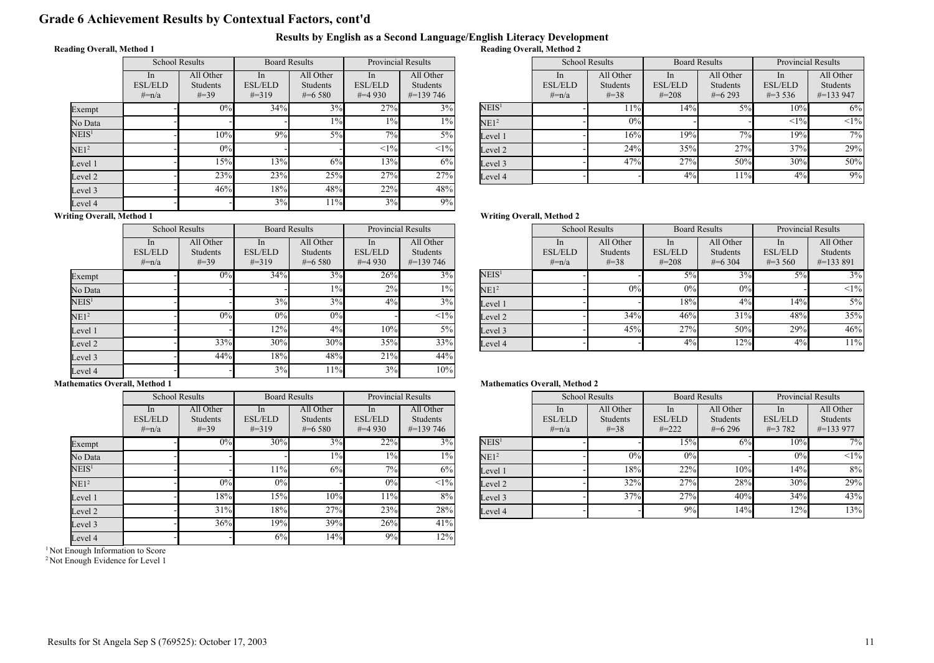# Grade 6 Achievement Results by Contextual Factors, cont'd

#### Results by English as a Second Language/English Literacy Development Reading Overall, Method 2

## Reading Overall, Method 1

|                   | <b>School Results</b>              |                                    | <b>Board Results</b>               |                                    | <b>Provincial Results</b>         |                                        |  |
|-------------------|------------------------------------|------------------------------------|------------------------------------|------------------------------------|-----------------------------------|----------------------------------------|--|
|                   | In<br><b>ESL/ELD</b><br>$\# = n/a$ | All Other<br>Students<br>$\# = 39$ | In<br><b>ESL/ELD</b><br>$\# = 319$ | All Other<br>Students<br>$\#=6580$ | In<br><b>ESL/ELD</b><br>$\#=4930$ | All Other<br>Students<br>$\#$ =139 746 |  |
| Exempt            |                                    | 0%                                 | 34%                                | 3%                                 | 27%                               | 3%                                     |  |
| No Data           |                                    |                                    |                                    | $1\%$                              | $1\%$                             | $1\%$                                  |  |
| $\mathrm{NEIS}^1$ |                                    | 10%                                | 9%                                 | $5\%$                              | 7%                                | $5\%$                                  |  |
| NE1 <sup>2</sup>  |                                    | $0\%$                              |                                    |                                    | <1%                               | $<1\%$                                 |  |
| Level 1           |                                    | 15%                                | 13%                                | 6%                                 | 13%                               | 6%                                     |  |
| Level 2           |                                    | 23%                                | 23%                                | 25%                                | 27%                               | 27%                                    |  |
| Level 3           |                                    | 46%                                | 18%                                | 48%                                | 22%                               | 48%                                    |  |
| Level 4           |                                    |                                    | 3%                                 | 11%                                | 3%                                | 9%                                     |  |

| <b>Provincial Results</b> |                                               |                   | <b>School Results</b>                          |                                           | <b>Board Results</b>                          |                                      | <b>Provincial Results</b>                     |                                        |
|---------------------------|-----------------------------------------------|-------------------|------------------------------------------------|-------------------------------------------|-----------------------------------------------|--------------------------------------|-----------------------------------------------|----------------------------------------|
| In<br>/ELD<br>4930        | All Other<br><b>Students</b><br>$\#$ =139 746 |                   | <sub>1</sub> n<br><b>ESL/ELD</b><br>$\# = n/a$ | All Other<br><b>Students</b><br>$\# = 38$ | <sub>In</sub><br><b>ESL/ELD</b><br>$\# = 208$ | All Other<br>Students<br>$\#$ =6.293 | <sub>1</sub> n<br><b>ESL/ELD</b><br>$\#=3536$ | All Other<br>Students<br>$\#$ =133 947 |
| 27%                       | $3\%$                                         | NEIS <sup>1</sup> |                                                | 11%                                       | 14%                                           | 5%                                   | 10%                                           | 6%                                     |
| $1\%$                     | $1\%$                                         | NE1 <sup>2</sup>  |                                                | 0%                                        |                                               |                                      | <1%                                           | <1%                                    |
| 7%                        | $5\%$                                         | Level 1           |                                                | 16%                                       | 19%                                           | 7%                                   | 19%                                           | 7%                                     |
| <1%                       | $<1\%$                                        | Level 2           |                                                | 24%                                       | 35%                                           | 27%                                  | 37%                                           | 29%                                    |
| 13%                       | 6%                                            | Level 3           |                                                | 47%                                       | 27%                                           | 50%                                  | 30%                                           | 50%                                    |
| 27%                       | 27%                                           | Level 4           |                                                |                                           | 4%                                            | 11%                                  | 4%                                            | 9%                                     |

# Writing Overall, Method 1

 $\overline{\mathbf{E}}$ 

|                   | <b>School Results</b>            |                                           | <b>Board Results</b>                           |                                    | <b>Provincial Results</b>         |                                               |
|-------------------|----------------------------------|-------------------------------------------|------------------------------------------------|------------------------------------|-----------------------------------|-----------------------------------------------|
|                   | In.<br><b>ESL/ELD</b><br>$#=n/a$ | All Other<br><b>Students</b><br>$\# = 39$ | <sub>1</sub> n<br><b>ESL/ELD</b><br>$\# = 319$ | All Other<br>Students<br>$\#=6580$ | In<br><b>ESL/ELD</b><br>$\#=4930$ | All Other<br><b>Students</b><br>$\#$ =139 746 |
| Exempt            |                                  | 0%                                        | 34%                                            | 3%                                 | 26%                               | 3%                                            |
| No Data           |                                  |                                           |                                                | $1\%$                              | 2%                                | $1\%$                                         |
| NEIS <sup>1</sup> |                                  |                                           | 3%                                             | 3%                                 | $4\%$                             | 3%                                            |
| NE1 <sup>2</sup>  |                                  | 0%                                        | 0%                                             | 0%                                 |                                   | $<1\%$                                        |
| Level 1           |                                  |                                           | 12%                                            | 4%                                 | 10%                               | $5\%$                                         |
| Level 2           |                                  | 33%                                       | 30%                                            | 30%                                | 35%                               | 33%                                           |
| Level 3           |                                  | 44%                                       | 18%                                            | 48%                                | 21%                               | 44%                                           |
| Level 4           |                                  |                                           | 3%                                             | 11%                                | 3%                                | 10%                                           |

School Results

Writing Overall, Method 2

|                   | In<br><b>ESL/ELD</b><br>$#=n/a$ | All Other<br><b>Students</b><br>$#=38$ | In<br><b>ESL/ELD</b><br>$\# = 208$ | All Other<br><b>Students</b><br>$#=6304$ | In<br><b>ESL/ELD</b><br>$\#=3,560$ | All Other<br><b>Students</b><br>$\#$ =133 891 |
|-------------------|---------------------------------|----------------------------------------|------------------------------------|------------------------------------------|------------------------------------|-----------------------------------------------|
| NEIS <sup>1</sup> |                                 |                                        | 5%                                 | 3%                                       | 5%                                 | 3%                                            |
| NE1 <sup>2</sup>  |                                 | 0%                                     | 0%                                 | 0%                                       |                                    | $<1\%$                                        |
| Level 1           |                                 |                                        | $18\%$                             | $4\%$                                    | 14%l                               | $5\%$                                         |
| Level 2           |                                 | 34%                                    | 46%                                | 31%                                      | 48%                                | 35%                                           |
| Level 3           |                                 | 45%                                    | 27%                                | 50%                                      | 29%                                | 46%                                           |
| Level 4           |                                 |                                        | 4%                                 | 12%                                      | 4%                                 | 11%                                           |

Board Results

Provincial Results Provincial Results

#### Mathematics Overall, Method 1

|                   |                                    | <b>School Results</b>                  | <b>Board Results</b>               |                                      | <b>Provincial Results</b>         |                                               |
|-------------------|------------------------------------|----------------------------------------|------------------------------------|--------------------------------------|-----------------------------------|-----------------------------------------------|
|                   | In<br><b>ESL/ELD</b><br>$\# = n/a$ | All Other<br><b>Students</b><br>$#=39$ | In<br><b>ESL/ELD</b><br>$\# = 319$ | All Other<br>Students<br>$\#$ =6.580 | In<br><b>ESL/ELD</b><br>$\#=4930$ | All Other<br><b>Students</b><br>$\#$ =139 746 |
| Exempt            |                                    | 0%                                     | 30%                                | 3%                                   | 22%                               | 3%                                            |
| No Data           |                                    |                                        |                                    | $1\%$                                | $1\%$                             | $1\%$                                         |
| NEIS <sup>1</sup> |                                    |                                        | 11%                                | 6%                                   | 7%                                | 6%                                            |
| NE1 <sup>2</sup>  |                                    | 0%                                     | 0%                                 |                                      | 0%                                | $<1\%$                                        |
| Level 1           |                                    | 18%                                    | 15%                                | 10%                                  | 11%                               | 8%                                            |
| Level 2           |                                    | 31%                                    | 18%                                | 27%                                  | 23%                               | 28%                                           |
| Level 3           |                                    | 36%                                    | 19%                                | 39%                                  | 26%                               | 41%                                           |
| Level 4           |                                    |                                        | 6%                                 | 14%                                  | 9%                                | 12%                                           |

<sup>1</sup> Not Enough Information to Score

<sup>2</sup> Not Enough Evidence for Level 1

|                     | <b>Provincial Results</b>                     |                   | <b>School Results</b>                       |                                           | <b>Board Results</b>                          |                                      | <b>Provincial Results</b>            |                                        |
|---------------------|-----------------------------------------------|-------------------|---------------------------------------------|-------------------------------------------|-----------------------------------------------|--------------------------------------|--------------------------------------|----------------------------------------|
| In<br>/ELD<br>4 930 | All Other<br><b>Students</b><br>$\#=139\,746$ |                   | <sub>1</sub> n<br><b>ESL/ELD</b><br>$#=n/a$ | All Other<br><b>Students</b><br>$\# = 38$ | <sub>In</sub><br><b>ESL/ELD</b><br>$\# = 222$ | All Other<br>Students<br>$\#$ =6.296 | In<br><b>ESL/ELD</b><br>$\# = 3$ 782 | All Other<br>Students<br>$\#$ =133 977 |
| 22%                 | $3\%$                                         | NEIS <sup>1</sup> |                                             |                                           | 15%                                           | 6%                                   | 10%                                  | $7\overline{\%}$                       |
| $1\%$               | $1\%$                                         | NE1 <sup>2</sup>  |                                             | 0%                                        | 0%                                            |                                      | 0%                                   | $<1\%$                                 |
| 7%                  | 6%                                            | Level 1           |                                             | 18%                                       | 22%                                           | 10%                                  | 14%                                  | 8%                                     |
| 0%                  | $<1\%$                                        | Level 2           |                                             | 32%                                       | 27%                                           | 28%                                  | 30%                                  | 29%                                    |
| 11%                 | 8%                                            | Level 3           |                                             | 37%                                       | 27%                                           | 40%                                  | 34%                                  | 43%                                    |
| 23%                 | 28%                                           | Level 4           |                                             |                                           | 9%                                            | 14%                                  | 12%                                  | 13%                                    |